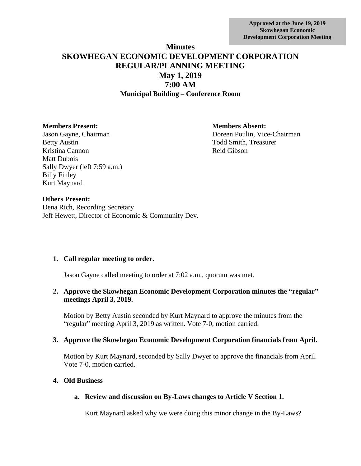**Approved at the June 19, 2019 Skowhegan Economic Development Corporation Meeting**

# **Minutes SKOWHEGAN ECONOMIC DEVELOPMENT CORPORATION REGULAR/PLANNING MEETING May 1, 2019 7:00 AM Municipal Building – Conference Room**

#### **Members Present: Members Absent:**

Betty Austin Todd Smith, Treasurer Kristina Cannon Reid Gibson Matt Dubois Sally Dwyer (left 7:59 a.m.) Billy Finley Kurt Maynard

Jason Gayne, Chairman Doreen Poulin, Vice-Chairman

#### **Others Present:**

Dena Rich, Recording Secretary Jeff Hewett, Director of Economic & Community Dev.

# **1. Call regular meeting to order.**

Jason Gayne called meeting to order at 7:02 a.m., quorum was met.

# **2. Approve the Skowhegan Economic Development Corporation minutes the "regular" meetings April 3, 2019.**

Motion by Betty Austin seconded by Kurt Maynard to approve the minutes from the "regular" meeting April 3, 2019 as written. Vote 7-0, motion carried.

# **3. Approve the Skowhegan Economic Development Corporation financials from April.**

Motion by Kurt Maynard, seconded by Sally Dwyer to approve the financials from April. Vote 7-0, motion carried.

#### **4. Old Business**

# **a. Review and discussion on By-Laws changes to Article V Section 1.**

Kurt Maynard asked why we were doing this minor change in the By-Laws?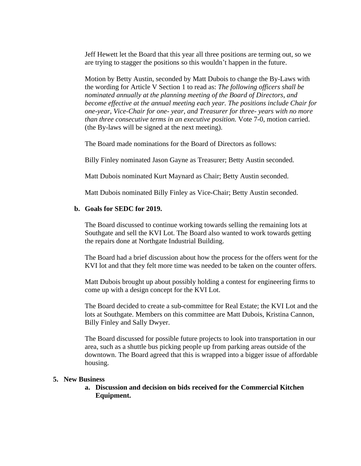Jeff Hewett let the Board that this year all three positions are terming out, so we are trying to stagger the positions so this wouldn't happen in the future.

Motion by Betty Austin, seconded by Matt Dubois to change the By-Laws with the wording for Article V Section 1 to read as: *The following officers shall be nominated annually at the planning meeting of the Board of Directors, and become effective at the annual meeting each year. The positions include Chair for one-year, Vice-Chair for one- year, and Treasurer for three- years with no more than three consecutive terms in an executive position.* Vote 7-0, motion carried. (the By-laws will be signed at the next meeting).

The Board made nominations for the Board of Directors as follows:

Billy Finley nominated Jason Gayne as Treasurer; Betty Austin seconded.

Matt Dubois nominated Kurt Maynard as Chair; Betty Austin seconded.

Matt Dubois nominated Billy Finley as Vice-Chair; Betty Austin seconded.

#### **b. Goals for SEDC for 2019.**

The Board discussed to continue working towards selling the remaining lots at Southgate and sell the KVI Lot. The Board also wanted to work towards getting the repairs done at Northgate Industrial Building.

The Board had a brief discussion about how the process for the offers went for the KVI lot and that they felt more time was needed to be taken on the counter offers.

Matt Dubois brought up about possibly holding a contest for engineering firms to come up with a design concept for the KVI Lot.

The Board decided to create a sub-committee for Real Estate; the KVI Lot and the lots at Southgate. Members on this committee are Matt Dubois, Kristina Cannon, Billy Finley and Sally Dwyer.

The Board discussed for possible future projects to look into transportation in our area, such as a shuttle bus picking people up from parking areas outside of the downtown. The Board agreed that this is wrapped into a bigger issue of affordable housing.

#### **5. New Business**

**a. Discussion and decision on bids received for the Commercial Kitchen Equipment.**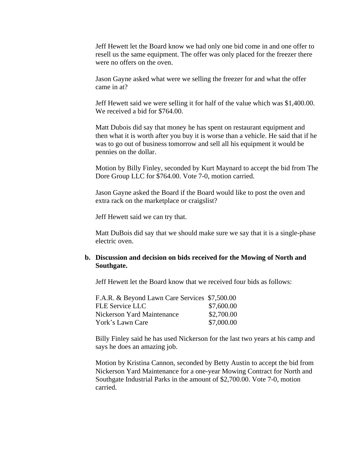Jeff Hewett let the Board know we had only one bid come in and one offer to resell us the same equipment. The offer was only placed for the freezer there were no offers on the oven.

Jason Gayne asked what were we selling the freezer for and what the offer came in at?

Jeff Hewett said we were selling it for half of the value which was \$1,400.00. We received a bid for \$764.00.

Matt Dubois did say that money he has spent on restaurant equipment and then what it is worth after you buy it is worse than a vehicle. He said that if he was to go out of business tomorrow and sell all his equipment it would be pennies on the dollar.

Motion by Billy Finley, seconded by Kurt Maynard to accept the bid from The Dore Group LLC for \$764.00. Vote 7-0, motion carried.

Jason Gayne asked the Board if the Board would like to post the oven and extra rack on the marketplace or craigslist?

Jeff Hewett said we can try that.

Matt DuBois did say that we should make sure we say that it is a single-phase electric oven.

#### **b. Discussion and decision on bids received for the Mowing of North and Southgate.**

Jeff Hewett let the Board know that we received four bids as follows:

| F.A.R. & Beyond Lawn Care Services \$7,500.00 |            |
|-----------------------------------------------|------------|
| FLE Service LLC                               | \$7,600.00 |
| Nickerson Yard Maintenance                    | \$2,700.00 |
| York's Lawn Care                              | \$7,000.00 |

Billy Finley said he has used Nickerson for the last two years at his camp and says he does an amazing job.

Motion by Kristina Cannon, seconded by Betty Austin to accept the bid from Nickerson Yard Maintenance for a one-year Mowing Contract for North and Southgate Industrial Parks in the amount of \$2,700.00. Vote 7-0, motion carried.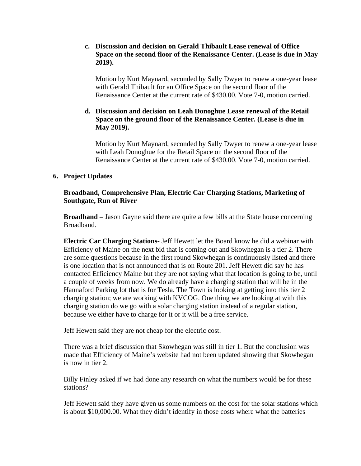## **c. Discussion and decision on Gerald Thibault Lease renewal of Office Space on the second floor of the Renaissance Center. (Lease is due in May 2019).**

Motion by Kurt Maynard, seconded by Sally Dwyer to renew a one-year lease with Gerald Thibault for an Office Space on the second floor of the Renaissance Center at the current rate of \$430.00. Vote 7-0, motion carried.

## **d. Discussion and decision on Leah Donoghue Lease renewal of the Retail Space on the ground floor of the Renaissance Center. (Lease is due in May 2019).**

Motion by Kurt Maynard, seconded by Sally Dwyer to renew a one-year lease with Leah Donoghue for the Retail Space on the second floor of the Renaissance Center at the current rate of \$430.00. Vote 7-0, motion carried.

# **6. Project Updates**

## **Broadband, Comprehensive Plan, Electric Car Charging Stations, Marketing of Southgate, Run of River**

**Broadband –** Jason Gayne said there are quite a few bills at the State house concerning Broadband.

**Electric Car Charging Stations-** Jeff Hewett let the Board know he did a webinar with Efficiency of Maine on the next bid that is coming out and Skowhegan is a tier 2. There are some questions because in the first round Skowhegan is continuously listed and there is one location that is not announced that is on Route 201. Jeff Hewett did say he has contacted Efficiency Maine but they are not saying what that location is going to be, until a couple of weeks from now. We do already have a charging station that will be in the Hannaford Parking lot that is for Tesla. The Town is looking at getting into this tier 2 charging station; we are working with KVCOG. One thing we are looking at with this charging station do we go with a solar charging station instead of a regular station, because we either have to charge for it or it will be a free service.

Jeff Hewett said they are not cheap for the electric cost.

There was a brief discussion that Skowhegan was still in tier 1. But the conclusion was made that Efficiency of Maine's website had not been updated showing that Skowhegan is now in tier 2.

Billy Finley asked if we had done any research on what the numbers would be for these stations?

Jeff Hewett said they have given us some numbers on the cost for the solar stations which is about \$10,000.00. What they didn't identify in those costs where what the batteries